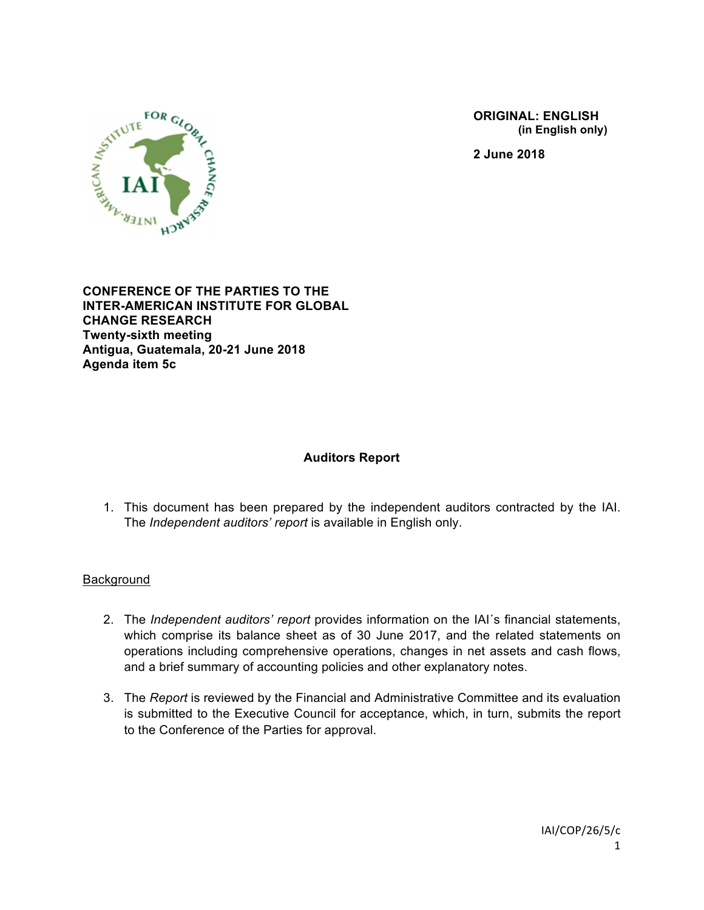

**ORIGINAL: ENGLISH (in English only)**

**2 June 2018**

**CONFERENCE OF THE PARTIES TO THE INTER-AMERICAN INSTITUTE FOR GLOBAL CHANGE RESEARCH Twenty-sixth meeting Antigua, Guatemala, 20-21 June 2018 Agenda item 5c**

## **Auditors Report**

1. This document has been prepared by the independent auditors contracted by the IAI. The *Independent auditors' report* is available in English only.

### **Background**

- 2. The *Independent auditors' report* provides information on the IAI´s financial statements, which comprise its balance sheet as of 30 June 2017, and the related statements on operations including comprehensive operations, changes in net assets and cash flows, and a brief summary of accounting policies and other explanatory notes.
- 3. The *Report* is reviewed by the Financial and Administrative Committee and its evaluation is submitted to the Executive Council for acceptance, which, in turn, submits the report to the Conference of the Parties for approval.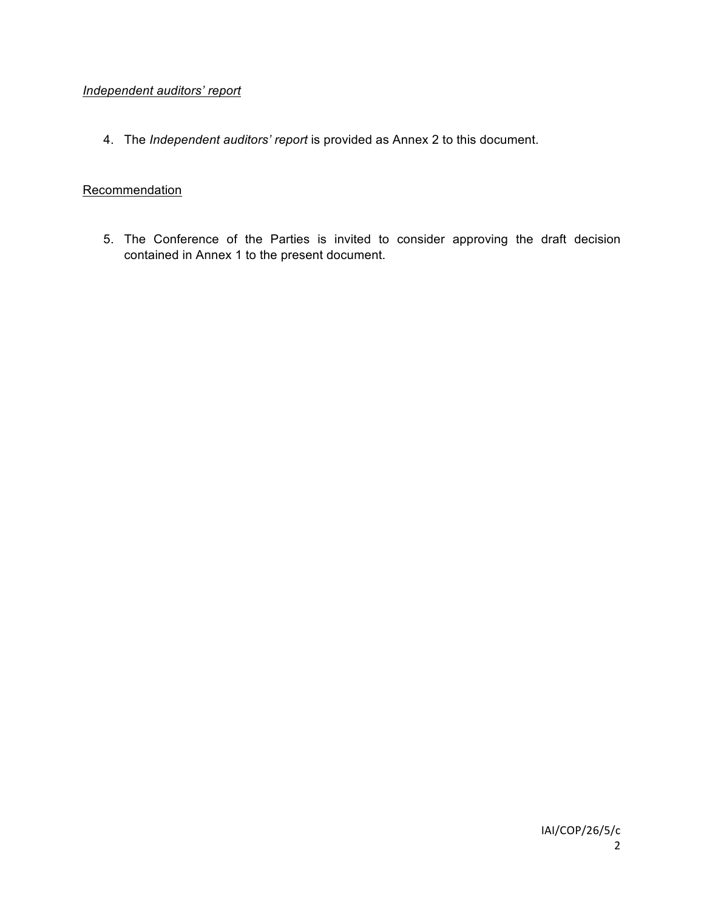## *Independent auditors' report*

4. The *Independent auditors' report* is provided as Annex 2 to this document.

## Recommendation

5. The Conference of the Parties is invited to consider approving the draft decision contained in Annex 1 to the present document.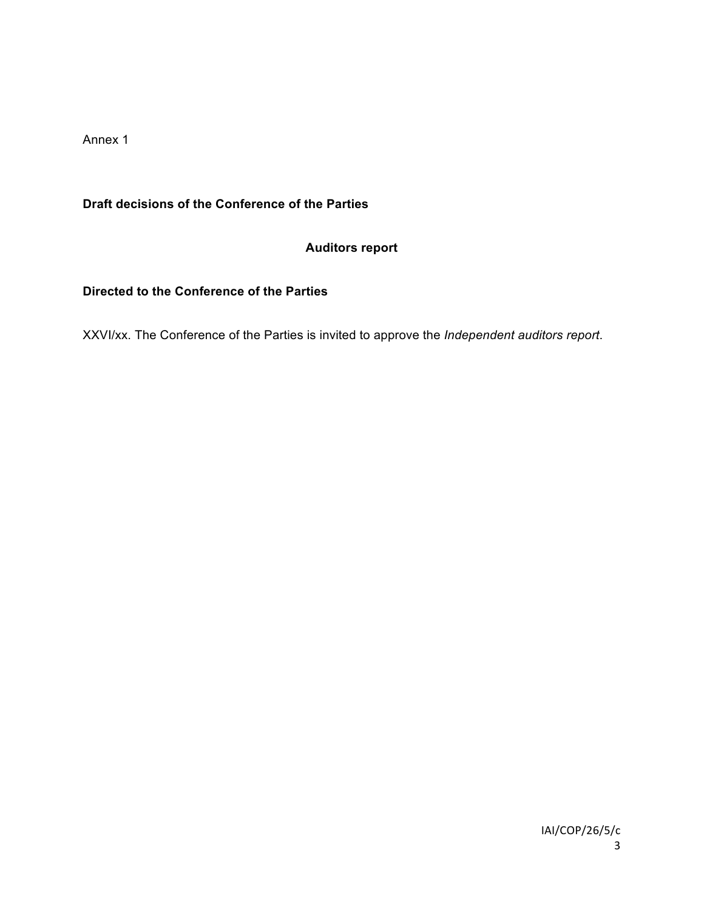Annex 1

# **Draft decisions of the Conference of the Parties**

# **Auditors report**

## **Directed to the Conference of the Parties**

XXVI/xx. The Conference of the Parties is invited to approve the *Independent auditors report*.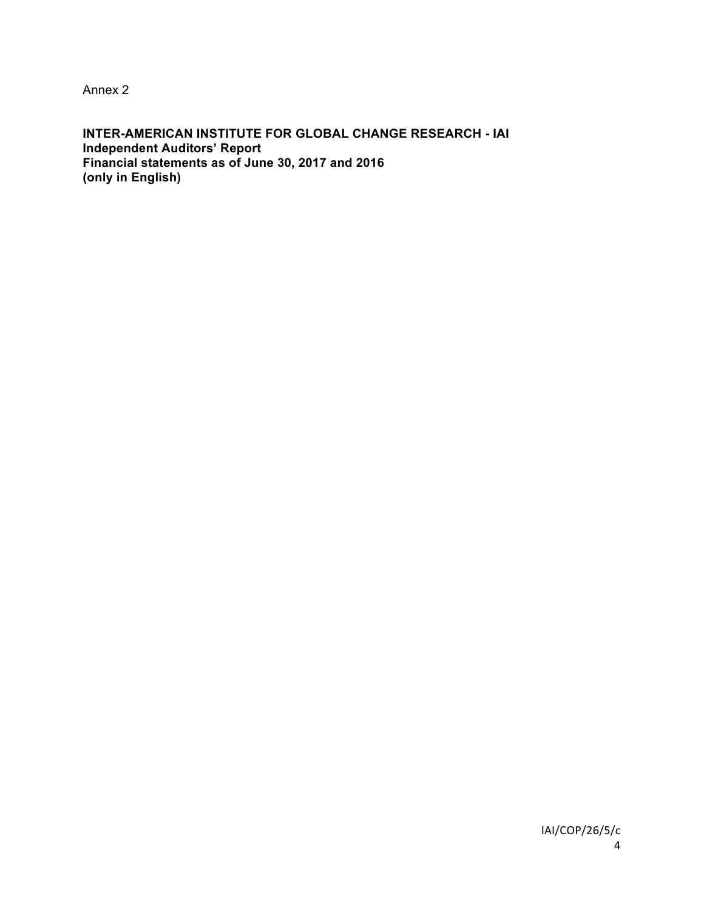Annex 2

**INTER-AMERICAN INSTITUTE FOR GLOBAL CHANGE RESEARCH - IAI Independent Auditors' Report Financial statements as of June 30, 2017 and 2016 (only in English)**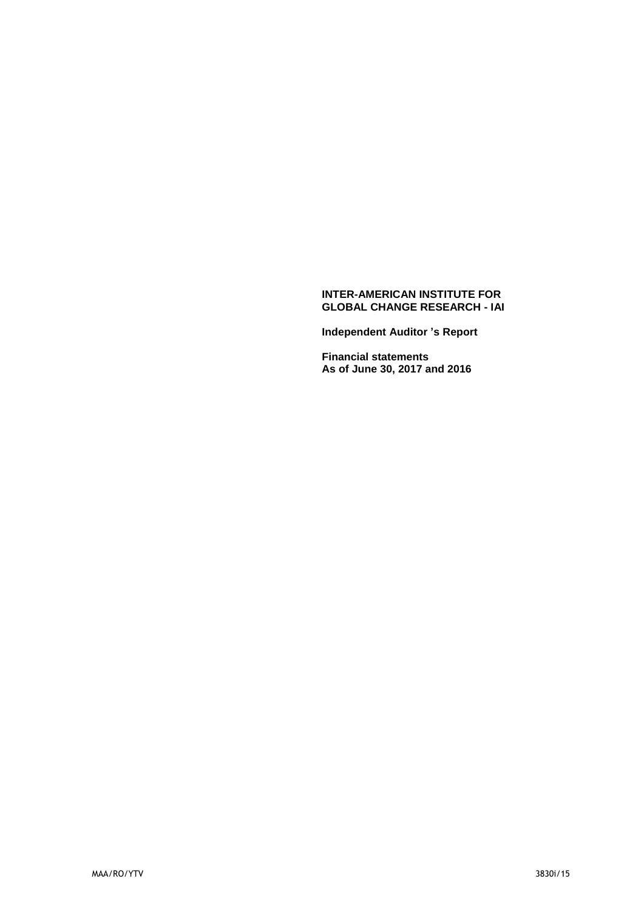**Independent Auditor 's Report**

**Financial statements As of June 30, 2017 and 2016**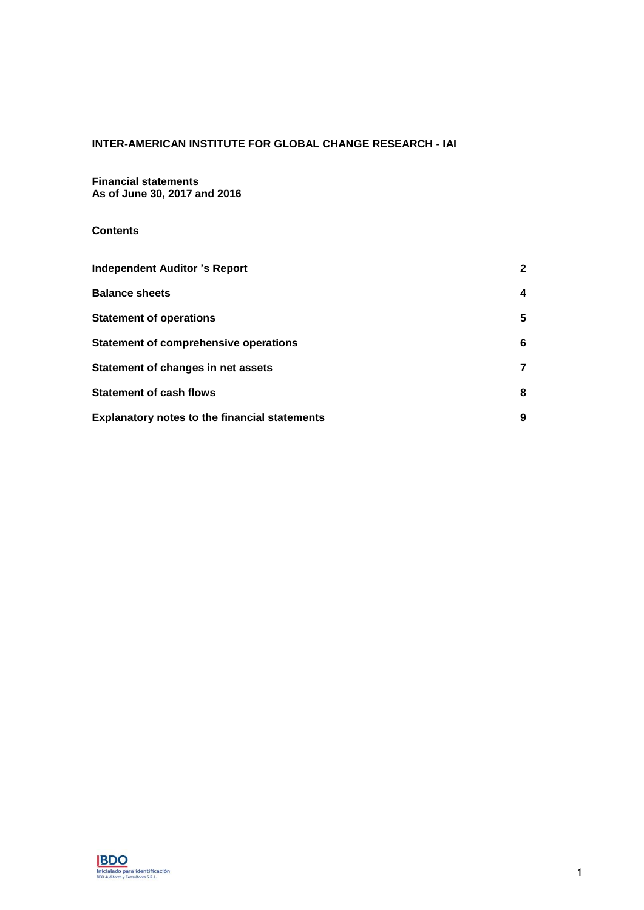# **Financial statements**

**As of June 30, 2017 and 2016**

#### **Contents**

| <b>Independent Auditor 's Report</b>                 | $\mathbf{2}$ |
|------------------------------------------------------|--------------|
| <b>Balance sheets</b>                                | 4            |
| <b>Statement of operations</b>                       | 5.           |
| <b>Statement of comprehensive operations</b>         | 6            |
| Statement of changes in net assets                   | 7            |
| <b>Statement of cash flows</b>                       | 8            |
| <b>Explanatory notes to the financial statements</b> | 9            |

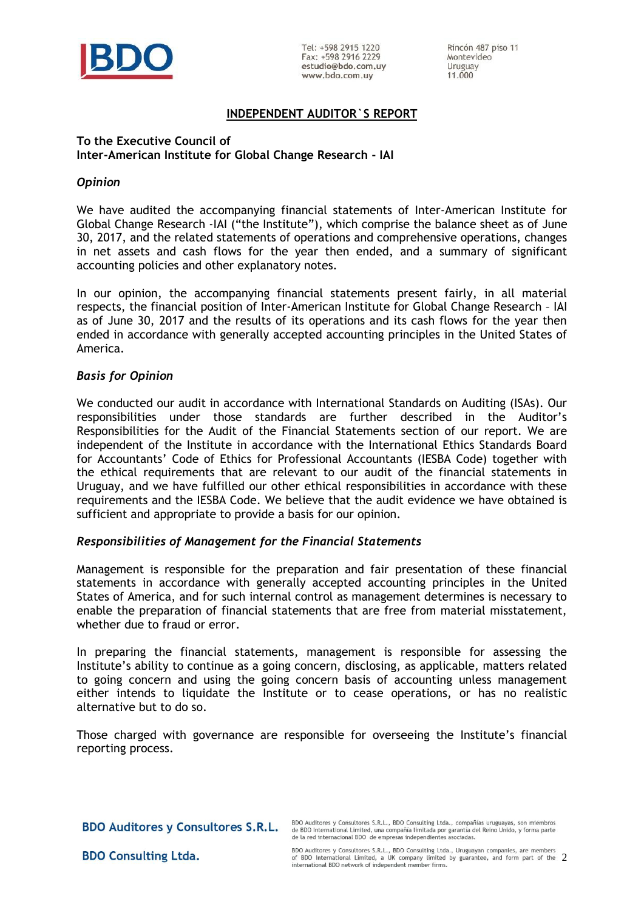

Tel: +598 2915 1220 Fax: +598 2916 2229 estudio@bdo.com.uy www.bdo.com.uy

Rincón 487 piso 11 Montevideo Uruguay 11.000

#### **INDEPENDENT AUDITOR`S REPORT**

#### **To the Executive Council of Inter-American Institute for Global Change Research - IAI**

#### *Opinion*

We have audited the accompanying financial statements of Inter-American Institute for Global Change Research -IAI ("the Institute"), which comprise the balance sheet as of June 30, 2017, and the related statements of operations and comprehensive operations, changes in net assets and cash flows for the year then ended, and a summary of significant accounting policies and other explanatory notes.

In our opinion, the accompanying financial statements present fairly, in all material respects, the financial position of Inter-American Institute for Global Change Research – IAI as of June 30, 2017 and the results of its operations and its cash flows for the year then ended in accordance with generally accepted accounting principles in the United States of America.

#### *Basis for Opinion*

We conducted our audit in accordance with International Standards on Auditing (ISAs). Our responsibilities under those standards are further described in the Auditor's Responsibilities for the Audit of the Financial Statements section of our report. We are independent of the Institute in accordance with the International Ethics Standards Board for Accountants' Code of Ethics for Professional Accountants (IESBA Code) together with the ethical requirements that are relevant to our audit of the financial statements in Uruguay, and we have fulfilled our other ethical responsibilities in accordance with these requirements and the IESBA Code. We believe that the audit evidence we have obtained is sufficient and appropriate to provide a basis for our opinion.

#### *Responsibilities of Management for the Financial Statements*

Management is responsible for the preparation and fair presentation of these financial statements in accordance with generally accepted accounting principles in the United States of America, and for such internal control as management determines is necessary to enable the preparation of financial statements that are free from material misstatement, whether due to fraud or error.

In preparing the financial statements, management is responsible for assessing the Institute's ability to continue as a going concern, disclosing, as applicable, matters related to going concern and using the going concern basis of accounting unless management either intends to liquidate the Institute or to cease operations, or has no realistic alternative but to do so.

Those charged with governance are responsible for overseeing the Institute's financial reporting process.

**BDO Auditores y Consultores S.R.L.** 

BDO Auditores y Consultores S.R.L., BDO Consulting Ltda., compañías uruguayas, son miembros de BDO International Limited, una compañía limitada por garantía del Reino Unido, y forma parte de la red internacional BDO de empresas independientes asociadas.

**BDO Consulting Ltda.** 

BDO Auditores y Consultores S.R.L., BDO Consulting Ltda., Uruguayan companies, are members of BDO International Limited, a UK company limited by guarantee, and form part of the 2<br>international BDO network of independent member firms.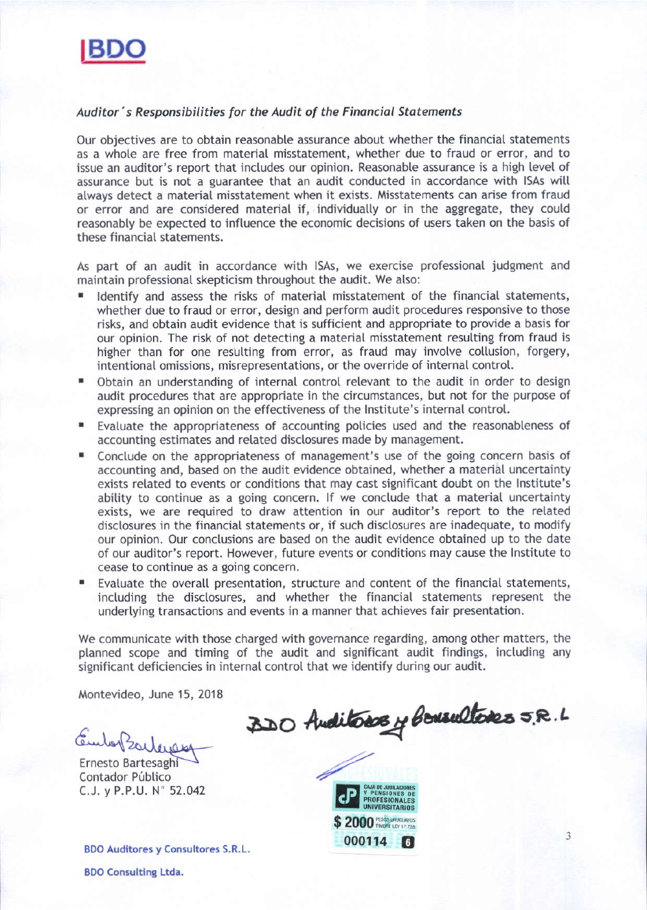

#### Auditor's Responsibilities for the Audit of the Financial Statements

Our objectives are to obtain reasonable assurance about whether the financial statements as a whole are free from material misstatement, whether due to fraud or error, and to issue an auditor's report that includes our opinion. Reasonable assurance is a high level of assurance but is not a guarantee that an audit conducted in accordance with ISAs will always detect a material misstatement when it exists. Misstatements can arise from fraud or error and are considered material if, individually or in the aggregate, they could reasonably be expected to influence the economic decisions of users taken on the basis of these financial statements.

As part of an audit in accordance with ISAs, we exercise professional judgment and maintain professional skepticism throughout the audit. We also:

- Identify and assess the risks of material misstatement of the financial statements, whether due to fraud or error, design and perform audit procedures responsive to those risks, and obtain audit evidence that is sufficient and appropriate to provide a basis for our opinion. The risk of not detecting a material misstatement resulting from fraud is higher than for one resulting from error, as fraud may involve collusion, forgery, intentional omissions, misrepresentations, or the override of internal control.
- Obtain an understanding of internal control relevant to the audit in order to design audit procedures that are appropriate in the circumstances, but not for the purpose of expressing an opinion on the effectiveness of the Institute's internal control.
- Evaluate the appropriateness of accounting policies used and the reasonableness of accounting estimates and related disclosures made by management.
- Conclude on the appropriateness of management's use of the going concern basis of accounting and, based on the audit evidence obtained, whether a material uncertainty exists related to events or conditions that may cast significant doubt on the Institute's ability to continue as a going concern. If we conclude that a material uncertainty exists, we are required to draw attention in our auditor's report to the related disclosures in the financial statements or, if such disclosures are inadequate, to modify our opinion. Our conclusions are based on the audit evidence obtained up to the date of our auditor's report. However, future events or conditions may cause the Institute to cease to continue as a going concern.
- Evaluate the overall presentation, structure and content of the financial statements, including the disclosures, and whether the financial statements represent the underlying transactions and events in a manner that achieves fair presentation.

We communicate with those charged with governance regarding, among other matters, the planned scope and timing of the audit and significant audit findings, including any significant deficiencies in internal control that we identify during our audit.

Montevideo, June 15, 2018

Emboy Zort

Ernesto Bartesaghi Contador Público C.J. y P.P.U. N° 52.042

**BDO Auditores y Consultores S.R.L. BDO Consulting Ltda.** 

300 Auditors y Bonsultanes J.R.L



3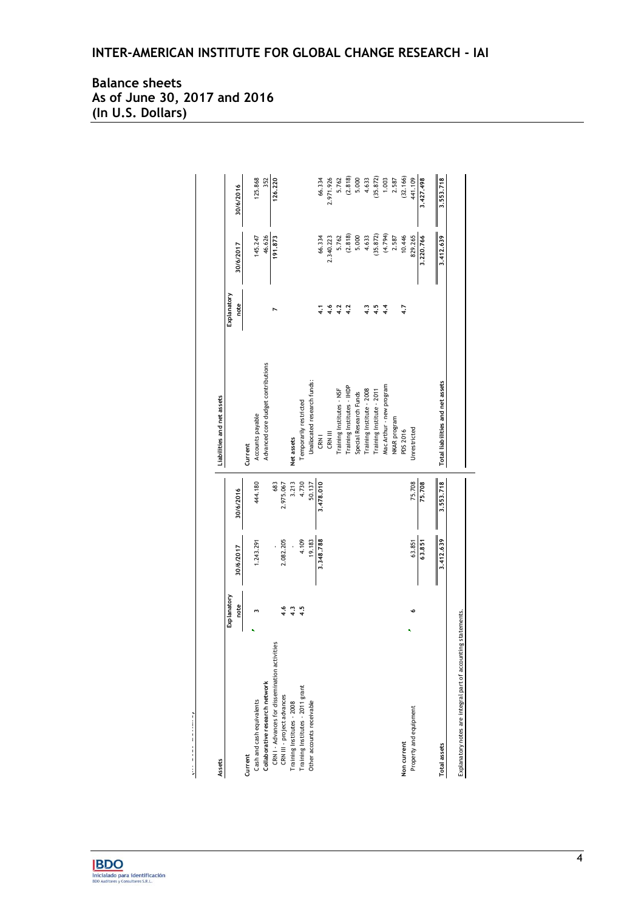## **Balance sheets As of June 30, 2017 and 2016 (In U.S. Dollars)**

| Assets                                                                      |             |           |           | Liabilities and net assets         |             |           |           |
|-----------------------------------------------------------------------------|-------------|-----------|-----------|------------------------------------|-------------|-----------|-----------|
|                                                                             | Explanatory |           |           |                                    | Explanatory |           |           |
|                                                                             | note        | 30/6/2017 | 30/6/2016 |                                    | note        | 30/6/2017 | 30/6/2016 |
| Current                                                                     |             |           |           | Current                            |             |           |           |
| Cash and cash equivalents                                                   | m           | 1.243.291 | 444.180   | Accounts payable                   |             | 145.247   | 125.868   |
| Collaborative research network                                              |             |           |           | Advanced core dudget contributions |             | 46.626    | 352       |
|                                                                             |             |           | 683       |                                    |             | 191.873   | 126.220   |
| CRN I - Advances for dissemination activities<br>CRN III - project advances | 4.6         | 2.082.205 | 2.975.067 |                                    |             |           |           |
| Training Institutes - 2008                                                  | 4.3         |           | 3.213     | Net assets                         |             |           |           |
| Training Institutes - 2011 grant                                            | 4.5         | 4.109     | 4.730     | Temporarily restricted             |             |           |           |
| Other accounts receivable                                                   |             | 19.183    | 50.137    | Unallocated research funds:        |             |           |           |
|                                                                             |             | 3.348.788 | 3.478.010 | CRN I                              | $\ddot{ }$  | 66.334    | 66.334    |
|                                                                             |             |           |           | CRN III                            | 4.6         | 2.340.223 | 2.971.926 |
|                                                                             |             |           |           | Training Institutes - NSF          | 4.2         | 5.762     | 5.762     |
|                                                                             |             |           |           | Training Institutes - IHDP         | 4.2         | (2.818)   | (2.818)   |
|                                                                             |             |           |           | Special Research Funds             |             | 5.000     | 5.000     |
|                                                                             |             |           |           | Training Institute - 2008          | 4.3         | 4.633     | 4.633     |
|                                                                             |             |           |           | Training Institute - 2011          | 4.5         | (35.872)  | (35.872)  |
|                                                                             |             |           |           | Mac Arthur - new program           | 4.4         | (4.794)   | 1.003     |
|                                                                             |             |           |           | NKAR program                       |             | 2.587     | 2.587     |
| Non current                                                                 |             |           |           | PDS 2016                           | 4.7         | 10.446    | (32.166)  |
| Property and equipment                                                      | o           | 63.851    | 75.708    | Unrestricted                       |             | 829.265   | 441.109   |
|                                                                             |             | 63.851    | 75.708    |                                    |             | 3.220.766 | 3.427.498 |
| <b>Total assets</b>                                                         |             | 3.412.639 | 3.553.718 | Total liabilities and net assets   |             | 3.412.639 | 3.553.718 |

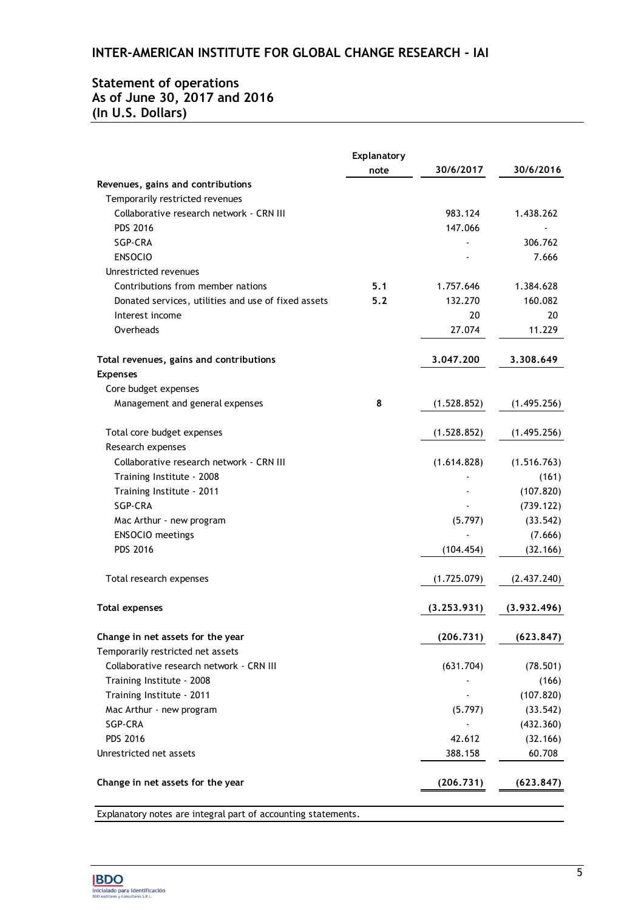## **Statement of operations As of June 30, 2017 and 2016 (In U.S. Dollars)**

|                                                     | Explanatory |             |             |
|-----------------------------------------------------|-------------|-------------|-------------|
|                                                     | note        | 30/6/2017   | 30/6/2016   |
| Revenues, gains and contributions                   |             |             |             |
| Temporarily restricted revenues                     |             |             |             |
| Collaborative research network - CRN III            |             | 983.124     | 1.438.262   |
| PDS 2016                                            |             | 147.066     |             |
| SGP-CRA                                             |             |             | 306.762     |
| <b>ENSOCIO</b>                                      |             |             | 7.666       |
| Unrestricted revenues                               |             |             |             |
| Contributions from member nations                   | 5.1         | 1.757.646   | 1.384.628   |
| Donated services, utilities and use of fixed assets | 5.2         | 132.270     | 160.082     |
| Interest income                                     |             | 20          | 20          |
| Overheads                                           |             | 27.074      | 11.229      |
| Total revenues, gains and contributions             |             | 3.047.200   | 3.308.649   |
| <b>Expenses</b>                                     |             |             |             |
| Core budget expenses                                |             |             |             |
| Management and general expenses                     | 8           | (1.528.852) | (1.495.256) |
| Total core budget expenses                          |             | (1.528.852) | (1.495.256) |
| Research expenses                                   |             |             |             |
| Collaborative research network - CRN III            |             | (1.614.828) | (1.516.763) |
| Training Institute - 2008                           |             |             | (161)       |
| Training Institute - 2011                           |             |             | (107.820)   |
| SGP-CRA                                             |             |             | (739.122)   |
| Mac Arthur - new program                            |             | (5.797)     | (33.542)    |
| <b>ENSOCIO</b> meetings                             |             |             | (7.666)     |
| <b>PDS 2016</b>                                     |             | (104.454)   | (32.166)    |
| Total research expenses                             |             | (1.725.079) | (2.437.240) |
| <b>Total expenses</b>                               |             | (3.253.931) | (3.932.496) |
| Change in net assets for the year                   |             | (206.731)   | (623.847)   |
| Temporarily restricted net assets                   |             |             |             |
| Collaborative research network - CRN III            |             | (631.704)   | (78.501)    |
| Training Institute - 2008                           |             |             | (166)       |
| Training Institute - 2011                           |             |             | (107.820)   |
| Mac Arthur - new program                            |             | (5.797)     | (33.542)    |
| SGP-CRA                                             |             |             | (432.360)   |
| PDS 2016                                            |             | 42.612      | (32.166)    |
| Unrestricted net assets                             |             | 388.158     | 60.708      |
| Change in net assets for the year                   |             | (206.731)   | (623.847)   |
|                                                     |             |             |             |

Explanatory notes are integral part of accounting statements.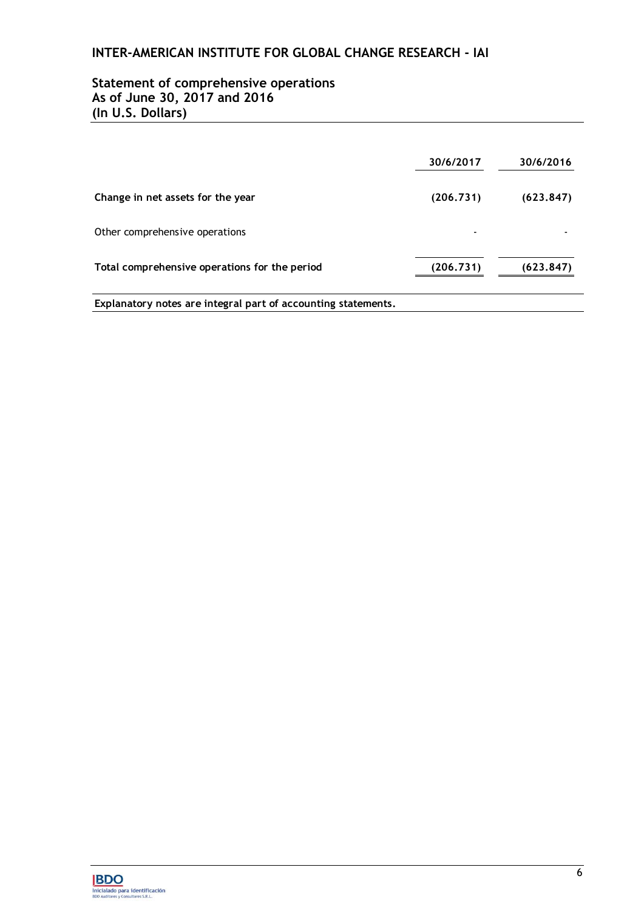## **Statement of comprehensive operations As of June 30, 2017 and 2016 (In U.S. Dollars)**

|                                               | 30/6/2017  | 30/6/2016 |
|-----------------------------------------------|------------|-----------|
| Change in net assets for the year             | (206.731)  | (623.847) |
| Other comprehensive operations                |            |           |
| Total comprehensive operations for the period | (206, 731) | (623.847) |

**Explanatory notes are integral part of accounting statements.**

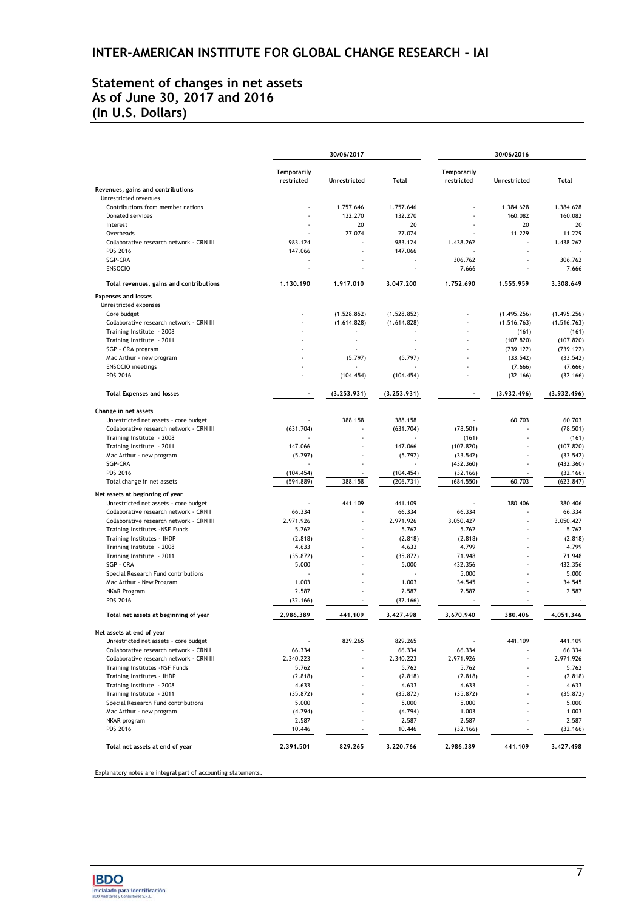## **Statement of changes in net assets As of June 30, 2017 and 2016 (In U.S. Dollars)**

|                                                                                   |                           | 30/06/2017            |                       |                           | 30/06/2016             |                        |
|-----------------------------------------------------------------------------------|---------------------------|-----------------------|-----------------------|---------------------------|------------------------|------------------------|
|                                                                                   | Temporarily<br>restricted | <b>Unrestricted</b>   | <b>Total</b>          | Temporarily<br>restricted | Unrestricted           | Total                  |
| Revenues, gains and contributions                                                 |                           |                       |                       |                           |                        |                        |
| Unrestricted revenues                                                             |                           |                       |                       |                           |                        |                        |
| Contributions from member nations                                                 |                           | 1.757.646             | 1.757.646             |                           | 1.384.628              | 1.384.628              |
| Donated services<br>Interest                                                      |                           | 132.270<br>20         | 132.270<br>20         |                           | 160.082<br>20          | 160.082<br>20          |
| Overheads                                                                         |                           | 27.074                | 27.074                |                           | 11.229                 | 11.229                 |
| Collaborative research network - CRN III                                          | 983.124                   |                       | 983.124               | 1.438.262                 |                        | 1.438.262              |
| PDS 2016                                                                          | 147.066                   |                       | 147.066               |                           |                        |                        |
| SGP-CRA                                                                           |                           |                       | ÷.                    | 306.762                   | $\epsilon$             | 306.762                |
| <b>ENSOCIO</b>                                                                    | ÷,                        | $\tilde{\phantom{a}}$ | $\tilde{\phantom{a}}$ | 7.666                     | $\sim$                 | 7.666                  |
| Total revenues, gains and contributions                                           | 1.130.190                 | 1.917.010             | 3.047.200             | 1.752.690                 | 1.555.959              | 3,308,649              |
| <b>Expenses and losses</b>                                                        |                           |                       |                       |                           |                        |                        |
| Unrestricted expenses                                                             |                           |                       |                       |                           |                        |                        |
| Core budget                                                                       |                           | (1.528.852)           | (1.528.852)           |                           | (1.495.256)            | (1.495.256)            |
| Collaborative research network - CRN III                                          |                           | (1.614.828)           | (1.614.828)           | ÷.                        | (1.516.763)            | (1.516.763)            |
| Training Institute - 2008                                                         |                           | ÷                     | ÷.                    |                           | (161)                  | (161)                  |
| Training Institute - 2011<br>SGP - CRA program                                    |                           |                       |                       |                           | (107.820)<br>(739.122) | (107.820)<br>(739.122) |
| Mac Arthur - new program                                                          |                           | (5.797)               | (5.797)               |                           | (33.542)               | (33.542)               |
| <b>ENSOCIO</b> meetings                                                           |                           |                       |                       |                           | (7.666)                | (7.666)                |
| PDS 2016                                                                          |                           | (104.454)             | (104.454)             |                           | (32.166)               | (32.166)               |
| <b>Total Expenses and losses</b>                                                  |                           | (3.253.931)           | (3.253.931)           |                           | (3.932.496)            | (3.932.496)            |
|                                                                                   |                           |                       |                       |                           |                        |                        |
| Change in net assets                                                              |                           | 388.158               |                       |                           | 60.703                 |                        |
| Unrestricted net assets - core budget<br>Collaborative research network - CRN III | (631.704)                 |                       | 388.158<br>(631.704)  | (78.501)                  |                        | 60.703<br>(78.501)     |
| Training Institute - 2008                                                         |                           |                       |                       | (161)                     |                        | (161)                  |
| Training Institute - 2011                                                         | 147.066                   |                       | 147.066               | (107.820)                 |                        | (107.820)              |
| Mac Arthur - new program                                                          | (5.797)                   |                       | (5.797)               | (33.542)                  |                        | (33.542)               |
| SGP-CRA                                                                           |                           |                       |                       | (432.360)                 |                        | (432.360)              |
| PDS 2016                                                                          | (104.454)                 |                       | (104.454)             | (32.166)                  |                        | (32.166)               |
| Total change in net assets                                                        | (594.889)                 | 388.158               | (206.731)             | (684.550)                 | 60.703                 | (623.847)              |
| Net assets at beginning of year                                                   |                           |                       |                       |                           |                        |                        |
| Unrestricted net assets - core budget                                             |                           | 441.109               | 441.109               |                           | 380.406                | 380.406                |
| Collaborative research network - CRN I                                            | 66.334                    |                       | 66.334                | 66.334                    |                        | 66.334                 |
| Collaborative research network - CRN III                                          | 2.971.926                 |                       | 2.971.926             | 3.050.427                 |                        | 3.050.427              |
| Training Institutes -NSF Funds                                                    | 5.762                     |                       | 5.762                 | 5.762                     |                        | 5.762                  |
| Training Institutes - IHDP                                                        | (2.818)                   |                       | (2.818)               | (2.818)                   |                        | (2.818)                |
| Training Institute - 2008                                                         | 4.633                     |                       | 4.633                 | 4.799                     |                        | 4.799                  |
| Training Institute - 2011                                                         | (35.872)                  |                       | (35.872)              | 71.948                    |                        | 71.948                 |
| SGP - CRA                                                                         | 5.000                     |                       | 5.000                 | 432.356                   |                        | 432.356                |
| Special Research Fund contributions                                               |                           |                       |                       | 5.000                     |                        | 5.000                  |
| Mac Arthur - New Program                                                          | 1.003                     |                       | 1.003                 | 34.545                    |                        | 34.545                 |
| <b>NKAR Program</b><br>PDS 2016                                                   | 2.587<br>(32.166)         |                       | 2.587<br>(32.166)     | 2.587                     |                        | 2.587                  |
| Total net assets at beginning of year                                             | 2,986,389                 | 441.109               | 3.427.498             | 3.670.940                 | 380,406                | 4,051,346              |
|                                                                                   |                           |                       |                       |                           |                        |                        |
| Net assets at end of year<br>Unrestricted net assets - core budget                | ÷,                        | 829.265               | 829.265               |                           | 441.109                | 441.109                |
| Collaborative research network - CRN I                                            | 66.334                    |                       | 66.334                | 66.334                    |                        | 66.334                 |
| Collaborative research network - CRN III                                          | 2.340.223                 |                       | 2.340.223             | 2.971.926                 |                        | 2.971.926              |
| Training Institutes -NSF Funds                                                    | 5.762                     |                       | 5.762                 | 5.762                     |                        | 5.762                  |
| Training Institutes - IHDP                                                        | (2.818)                   |                       | (2.818)               | (2.818)                   |                        | (2.818)                |
| Training Institute - 2008                                                         | 4.633                     |                       | 4.633                 | 4.633                     |                        | 4.633                  |
| Training Institute - 2011                                                         | (35.872)                  |                       | (35.872)              | (35.872)                  |                        | (35.872)               |
| Special Research Fund contributions                                               | 5.000                     |                       | 5.000                 | 5.000                     |                        | 5.000                  |
| Mac Arthur - new program                                                          | (4.794)                   |                       | (4.794)               | 1.003                     |                        | 1.003                  |
| NKAR program                                                                      | 2.587                     |                       | 2.587                 | 2.587                     |                        | 2.587                  |
| PDS 2016                                                                          | 10.446                    |                       | 10.446                | (32.166)                  |                        | (32.166)               |
| Total net assets at end of year                                                   | 2.391.501                 | 829.265               | 3.220.766             | 2.986.389                 | 441.109                | 3.427.498              |
|                                                                                   |                           |                       |                       |                           |                        |                        |

Explanatory notes are integral part of accounting statements.

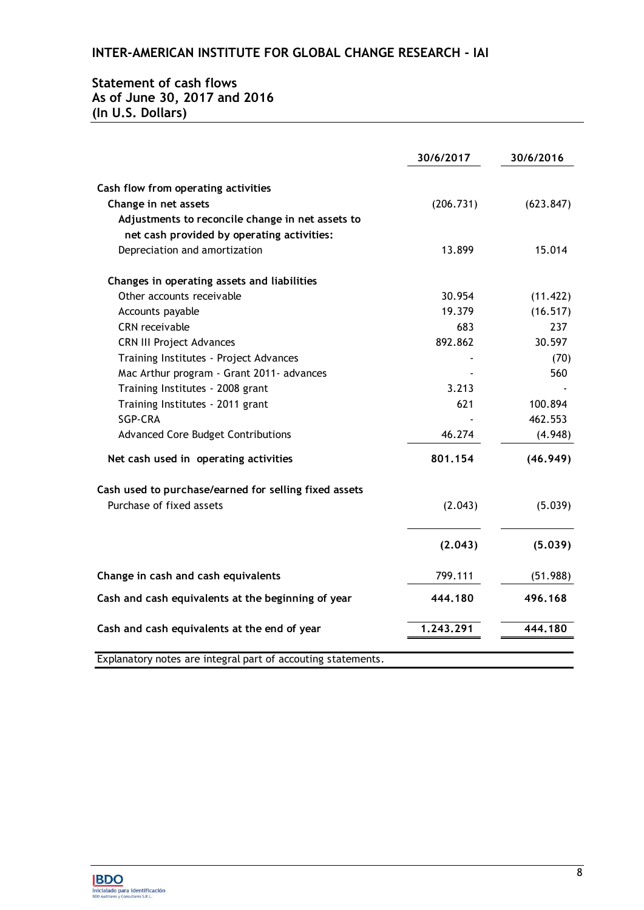## **Statement of cash flows As of June 30, 2017 and 2016 (In U.S. Dollars)**

|                                                              | 30/6/2017 | 30/6/2016 |
|--------------------------------------------------------------|-----------|-----------|
| Cash flow from operating activities                          |           |           |
| Change in net assets                                         | (206.731) | (623.847) |
| Adjustments to reconcile change in net assets to             |           |           |
| net cash provided by operating activities:                   |           |           |
| Depreciation and amortization                                | 13.899    | 15.014    |
| Changes in operating assets and liabilities                  |           |           |
| Other accounts receivable                                    | 30.954    | (11.422)  |
| Accounts payable                                             | 19.379    | (16.517)  |
| <b>CRN</b> receivable                                        | 683       | 237       |
| <b>CRN III Project Advances</b>                              | 892.862   | 30.597    |
| Training Institutes - Project Advances                       |           | (70)      |
| Mac Arthur program - Grant 2011- advances                    |           | 560       |
| Training Institutes - 2008 grant                             | 3.213     |           |
| Training Institutes - 2011 grant                             | 621       | 100.894   |
| SGP-CRA                                                      |           | 462.553   |
| <b>Advanced Core Budget Contributions</b>                    | 46.274    | (4.948)   |
| Net cash used in operating activities                        | 801.154   | (46.949)  |
| Cash used to purchase/earned for selling fixed assets        |           |           |
| Purchase of fixed assets                                     | (2.043)   | (5.039)   |
|                                                              | (2.043)   | (5.039)   |
| Change in cash and cash equivalents                          | 799.111   | (51.988)  |
| Cash and cash equivalents at the beginning of year           | 444.180   | 496.168   |
| Cash and cash equivalents at the end of year                 | 1.243.291 | 444.180   |
| Explanatory notes are integral part of accouting statements. |           |           |

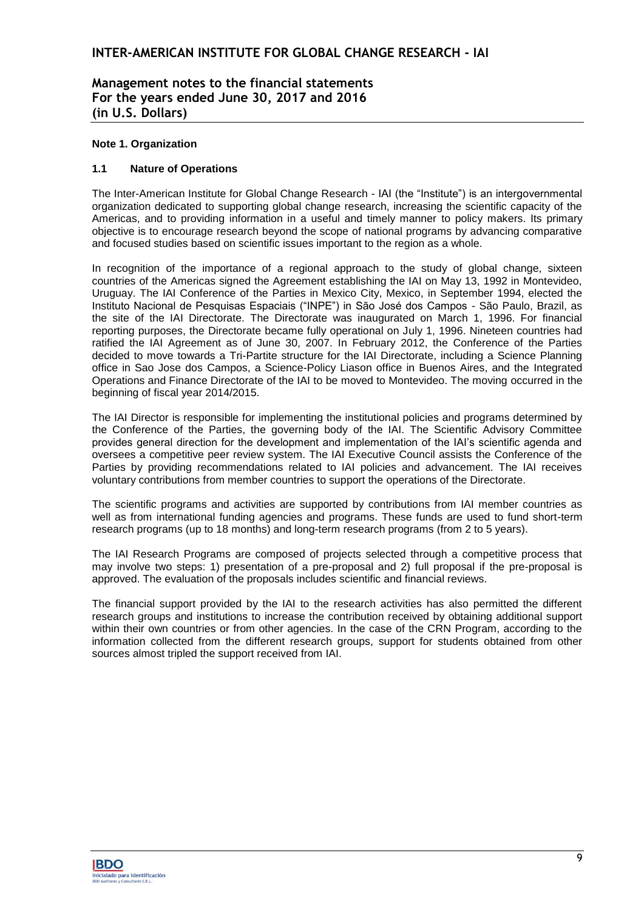#### **Note 1. Organization**

#### **1.1 Nature of Operations**

The Inter-American Institute for Global Change Research - IAI (the "Institute") is an intergovernmental organization dedicated to supporting global change research, increasing the scientific capacity of the Americas, and to providing information in a useful and timely manner to policy makers. Its primary objective is to encourage research beyond the scope of national programs by advancing comparative and focused studies based on scientific issues important to the region as a whole.

In recognition of the importance of a regional approach to the study of global change, sixteen countries of the Americas signed the Agreement establishing the IAI on May 13, 1992 in Montevideo, Uruguay. The IAI Conference of the Parties in Mexico City, Mexico, in September 1994, elected the Instituto Nacional de Pesquisas Espaciais ("INPE") in São José dos Campos - São Paulo, Brazil, as the site of the IAI Directorate. The Directorate was inaugurated on March 1, 1996. For financial reporting purposes, the Directorate became fully operational on July 1, 1996. Nineteen countries had ratified the IAI Agreement as of June 30, 2007. In February 2012, the Conference of the Parties decided to move towards a Tri-Partite structure for the IAI Directorate, including a Science Planning office in Sao Jose dos Campos, a Science-Policy Liason office in Buenos Aires, and the Integrated Operations and Finance Directorate of the IAI to be moved to Montevideo. The moving occurred in the beginning of fiscal year 2014/2015.

The IAI Director is responsible for implementing the institutional policies and programs determined by the Conference of the Parties, the governing body of the IAI. The Scientific Advisory Committee provides general direction for the development and implementation of the IAI's scientific agenda and oversees a competitive peer review system. The IAI Executive Council assists the Conference of the Parties by providing recommendations related to IAI policies and advancement. The IAI receives voluntary contributions from member countries to support the operations of the Directorate.

The scientific programs and activities are supported by contributions from IAI member countries as well as from international funding agencies and programs. These funds are used to fund short-term research programs (up to 18 months) and long-term research programs (from 2 to 5 years).

The IAI Research Programs are composed of projects selected through a competitive process that may involve two steps: 1) presentation of a pre-proposal and 2) full proposal if the pre-proposal is approved. The evaluation of the proposals includes scientific and financial reviews.

The financial support provided by the IAI to the research activities has also permitted the different research groups and institutions to increase the contribution received by obtaining additional support within their own countries or from other agencies. In the case of the CRN Program, according to the information collected from the different research groups, support for students obtained from other sources almost tripled the support received from IAI.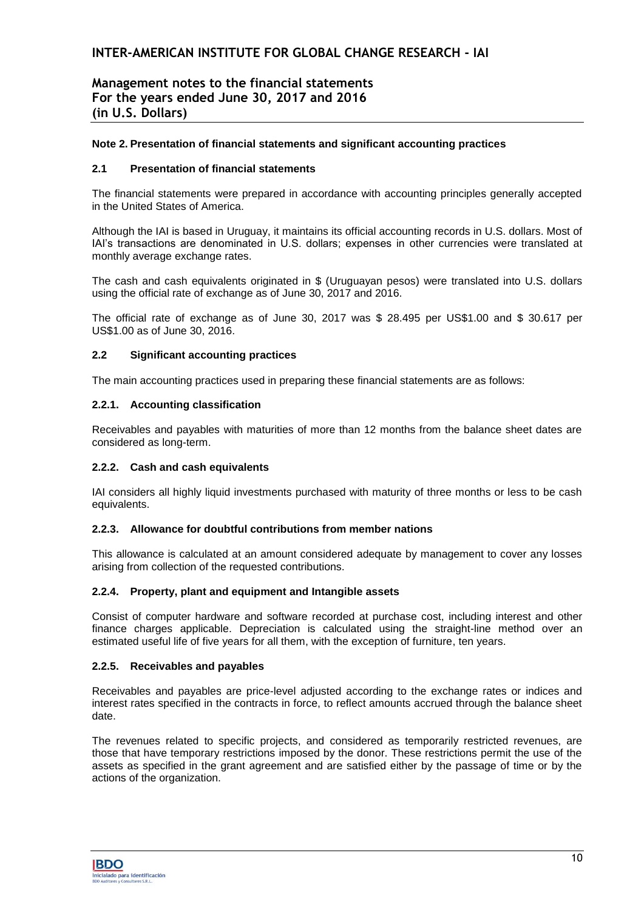## **Management notes to the financial statements For the years ended June 30, 2017 and 2016 (in U.S. Dollars)**

#### **Note 2. Presentation of financial statements and significant accounting practices**

#### **2.1 Presentation of financial statements**

The financial statements were prepared in accordance with accounting principles generally accepted in the United States of America.

Although the IAI is based in Uruguay, it maintains its official accounting records in U.S. dollars. Most of IAI's transactions are denominated in U.S. dollars; expenses in other currencies were translated at monthly average exchange rates.

The cash and cash equivalents originated in \$ (Uruguayan pesos) were translated into U.S. dollars using the official rate of exchange as of June 30, 2017 and 2016.

The official rate of exchange as of June 30, 2017 was \$ 28.495 per US\$1.00 and \$ 30.617 per US\$1.00 as of June 30, 2016.

#### **2.2 Significant accounting practices**

The main accounting practices used in preparing these financial statements are as follows:

#### **2.2.1. Accounting classification**

Receivables and payables with maturities of more than 12 months from the balance sheet dates are considered as long-term.

#### **2.2.2. Cash and cash equivalents**

IAI considers all highly liquid investments purchased with maturity of three months or less to be cash equivalents.

#### **2.2.3. Allowance for doubtful contributions from member nations**

This allowance is calculated at an amount considered adequate by management to cover any losses arising from collection of the requested contributions.

#### **2.2.4. Property, plant and equipment and Intangible assets**

Consist of computer hardware and software recorded at purchase cost, including interest and other finance charges applicable. Depreciation is calculated using the straight-line method over an estimated useful life of five years for all them, with the exception of furniture, ten years.

#### **2.2.5. Receivables and payables**

Receivables and payables are price-level adjusted according to the exchange rates or indices and interest rates specified in the contracts in force, to reflect amounts accrued through the balance sheet date.

The revenues related to specific projects, and considered as temporarily restricted revenues, are those that have temporary restrictions imposed by the donor. These restrictions permit the use of the assets as specified in the grant agreement and are satisfied either by the passage of time or by the actions of the organization.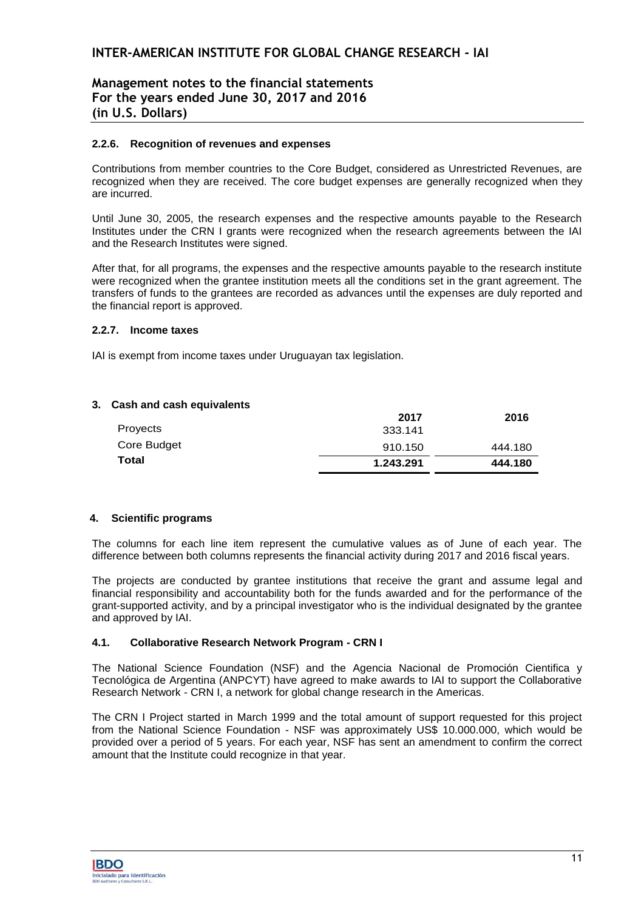#### **2.2.6. Recognition of revenues and expenses**

Contributions from member countries to the Core Budget, considered as Unrestricted Revenues, are recognized when they are received. The core budget expenses are generally recognized when they are incurred.

Until June 30, 2005, the research expenses and the respective amounts payable to the Research Institutes under the CRN I grants were recognized when the research agreements between the IAI and the Research Institutes were signed.

After that, for all programs, the expenses and the respective amounts payable to the research institute were recognized when the grantee institution meets all the conditions set in the grant agreement. The transfers of funds to the grantees are recorded as advances until the expenses are duly reported and the financial report is approved.

#### **2.2.7. Income taxes**

IAI is exempt from income taxes under Uruguayan tax legislation.

#### **3. Cash and cash equivalents**

|                 | 2017      | 2016    |
|-----------------|-----------|---------|
| <b>Provects</b> | 333.141   |         |
| Core Budget     | 910.150   | 444.180 |
| Total           | 1.243.291 | 444.180 |

#### **4. Scientific programs**

The columns for each line item represent the cumulative values as of June of each year. The difference between both columns represents the financial activity during 2017 and 2016 fiscal years.

The projects are conducted by grantee institutions that receive the grant and assume legal and financial responsibility and accountability both for the funds awarded and for the performance of the grant-supported activity, and by a principal investigator who is the individual designated by the grantee and approved by IAI.

#### **4.1. Collaborative Research Network Program - CRN I**

The National Science Foundation (NSF) and the Agencia Nacional de Promoción Cientifica y Tecnológica de Argentina (ANPCYT) have agreed to make awards to IAI to support the Collaborative Research Network - CRN I, a network for global change research in the Americas.

The CRN I Project started in March 1999 and the total amount of support requested for this project from the National Science Foundation - NSF was approximately US\$ 10.000.000, which would be provided over a period of 5 years. For each year, NSF has sent an amendment to confirm the correct amount that the Institute could recognize in that year.

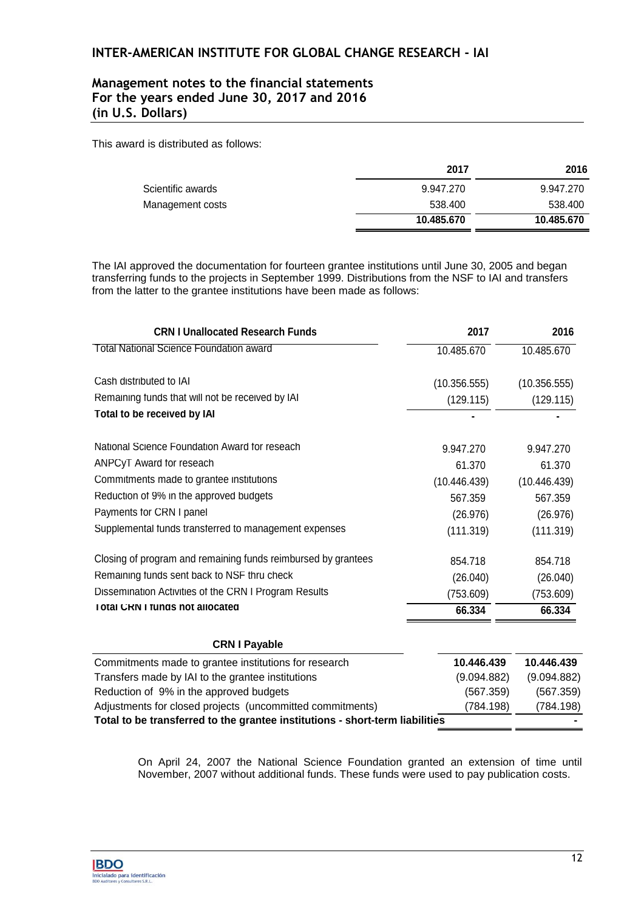This award is distributed as follows:

|                   | 2017       | 2016       |
|-------------------|------------|------------|
| Scientific awards | 9.947.270  | 9.947.270  |
| Management costs  | 538.400    | 538.400    |
|                   | 10.485.670 | 10.485.670 |
|                   |            |            |

The IAI approved the documentation for fourteen grantee institutions until June 30, 2005 and began transferring funds to the projects in September 1999. Distributions from the NSF to IAI and transfers from the latter to the grantee institutions have been made as follows:

| <b>CRN I Unallocated Research Funds</b>                                      | 2017         | 2016         |
|------------------------------------------------------------------------------|--------------|--------------|
| <b>Total National Science Foundation award</b>                               | 10.485.670   | 10.485.670   |
| Cash distributed to IAI                                                      | (10.356.555) | (10.356.555) |
| Remaining funds that will not be received by IAI                             | (129.115)    | (129.115)    |
| Total to be received by IAI                                                  |              |              |
| National Science Foundation Award for reseach                                | 9.947.270    | 9.947.270    |
| ANPCyT Award for reseach                                                     | 61.370       | 61.370       |
| Commitments made to grantee institutions                                     | (10.446.439) | (10.446.439) |
| Reduction of 9% in the approved budgets                                      | 567.359      | 567.359      |
| Payments for CRN I panel                                                     | (26.976)     | (26.976)     |
| Supplemental funds transferred to management expenses                        | (111.319)    | (111.319)    |
| Closing of program and remaining funds reimbursed by grantees                | 854.718      | 854.718      |
| Remaining funds sent back to NSF thru check                                  | (26.040)     | (26.040)     |
| Dissemination Activities of the CRN I Program Results                        | (753.609)    | (753.609)    |
| <b>Total CRN I funds not allocated</b>                                       | 66.334       | 66.334       |
| <b>CRN I Payable</b>                                                         |              |              |
| Commitments made to grantee institutions for research                        | 10.446.439   | 10.446.439   |
| Transfers made by IAI to the grantee institutions                            | (9.094.882)  | (9.094.882)  |
| Reduction of 9% in the approved budgets                                      | (567.359)    | (567.359)    |
| Adjustments for closed projects (uncommitted commitments)                    | (784.198)    | (784.198)    |
| Total to be transferred to the grantee institutions - short-term liabilities |              |              |

On April 24, 2007 the National Science Foundation granted an extension of time until November, 2007 without additional funds. These funds were used to pay publication costs.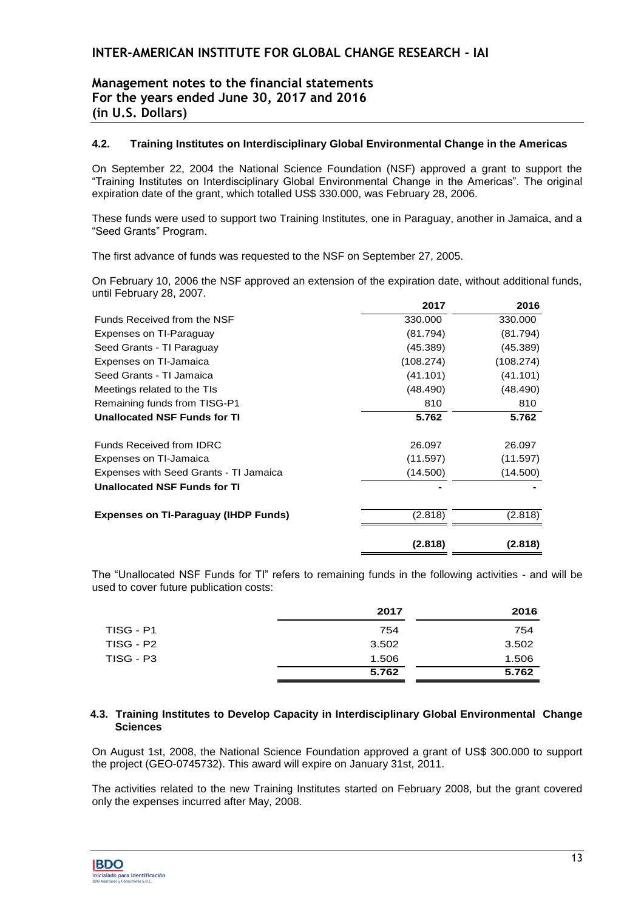#### **4.2. Training Institutes on Interdisciplinary Global Environmental Change in the Americas**

On September 22, 2004 the National Science Foundation (NSF) approved a grant to support the "Training Institutes on Interdisciplinary Global Environmental Change in the Americas". The original expiration date of the grant, which totalled US\$ 330.000, was February 28, 2006.

These funds were used to support two Training Institutes, one in Paraguay, another in Jamaica, and a "Seed Grants" Program.

The first advance of funds was requested to the NSF on September 27, 2005.

On February 10, 2006 the NSF approved an extension of the expiration date, without additional funds, until February 28, 2007.

|                                             | 2017      | 2016      |
|---------------------------------------------|-----------|-----------|
| Funds Received from the NSF                 | 330,000   | 330.000   |
| Expenses on TI-Paraguay                     | (81.794)  | (81.794)  |
| Seed Grants - TI Paraguay                   | (45.389)  | (45.389)  |
| Expenses on TI-Jamaica                      | (108.274) | (108.274) |
| Seed Grants - TI Jamaica                    | (41.101)  | (41.101)  |
| Meetings related to the TIs                 | (48.490)  | (48.490)  |
| Remaining funds from TISG-P1                | 810       | 810       |
| <b>Unallocated NSF Funds for TI</b>         | 5.762     | 5.762     |
| Funds Received from IDRC                    | 26.097    | 26.097    |
| Expenses on TI-Jamaica                      | (11.597)  | (11.597)  |
| Expenses with Seed Grants - TI Jamaica      | (14.500)  | (14.500)  |
| <b>Unallocated NSF Funds for TI</b>         |           |           |
| <b>Expenses on TI-Paraguay (IHDP Funds)</b> | (2.818)   | (2.818)   |
|                                             | (2.818)   | (2.818)   |

The "Unallocated NSF Funds for TI" refers to remaining funds in the following activities - and will be used to cover future publication costs:

|           | 2017  | 2016  |
|-----------|-------|-------|
| TISG - P1 | 754   | 754   |
| TISG - P2 | 3.502 | 3.502 |
| TISG - P3 | 1.506 | 1.506 |
|           | 5.762 | 5.762 |

#### **4.3. Training Institutes to Develop Capacity in Interdisciplinary Global Environmental Change Sciences**

On August 1st, 2008, the National Science Foundation approved a grant of US\$ 300.000 to support the project (GEO-0745732). This award will expire on January 31st, 2011.

The activities related to the new Training Institutes started on February 2008, but the grant covered only the expenses incurred after May, 2008.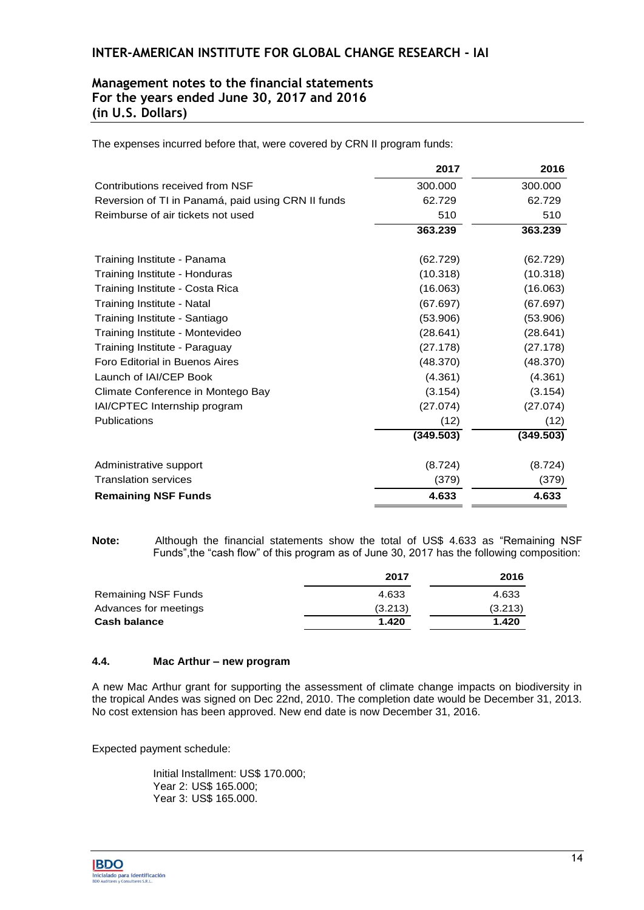## **Management notes to the financial statements For the years ended June 30, 2017 and 2016 (in U.S. Dollars)**

The expenses incurred before that, were covered by CRN II program funds:

|                                                    | 2017      | 2016      |
|----------------------------------------------------|-----------|-----------|
| Contributions received from NSF                    | 300.000   | 300,000   |
| Reversion of TI in Panamá, paid using CRN II funds | 62.729    | 62.729    |
| Reimburse of air tickets not used                  | 510       | 510       |
|                                                    | 363.239   | 363.239   |
| Training Institute - Panama                        | (62.729)  | (62.729)  |
| Training Institute - Honduras                      | (10.318)  | (10.318)  |
| Training Institute - Costa Rica                    | (16.063)  | (16.063)  |
| Training Institute - Natal                         | (67.697)  | (67.697)  |
| Training Institute - Santiago                      | (53.906)  | (53.906)  |
| Training Institute - Montevideo                    | (28.641)  | (28.641)  |
| Training Institute - Paraguay                      | (27.178)  | (27.178)  |
| Foro Editorial in Buenos Aires                     | (48.370)  | (48.370)  |
| Launch of IAI/CEP Book                             | (4.361)   | (4.361)   |
| Climate Conference in Montego Bay                  | (3.154)   | (3.154)   |
| IAI/CPTEC Internship program                       | (27.074)  | (27.074)  |
| <b>Publications</b>                                | (12)      | (12)      |
|                                                    | (349.503) | (349.503) |
| Administrative support                             | (8.724)   | (8.724)   |
| <b>Translation services</b>                        | (379)     | (379)     |
| <b>Remaining NSF Funds</b>                         | 4.633     | 4.633     |

**Note:** Although the financial statements show the total of US\$ 4.633 as "Remaining NSF Funds",the "cash flow" of this program as of June 30, 2017 has the following composition:

|                            | 2017    | 2016    |
|----------------------------|---------|---------|
| <b>Remaining NSF Funds</b> | 4.633   | 4.633   |
| Advances for meetings      | (3.213) | (3.213) |
| <b>Cash balance</b>        | 1.420   | 1.420   |

#### **4.4. Mac Arthur – new program**

A new Mac Arthur grant for supporting the assessment of climate change impacts on biodiversity in the tropical Andes was signed on Dec 22nd, 2010. The completion date would be December 31, 2013. No cost extension has been approved. New end date is now December 31, 2016.

Expected payment schedule:

Initial Installment: US\$ 170.000; Year 2: US\$ 165.000; Year 3: US\$ 165.000.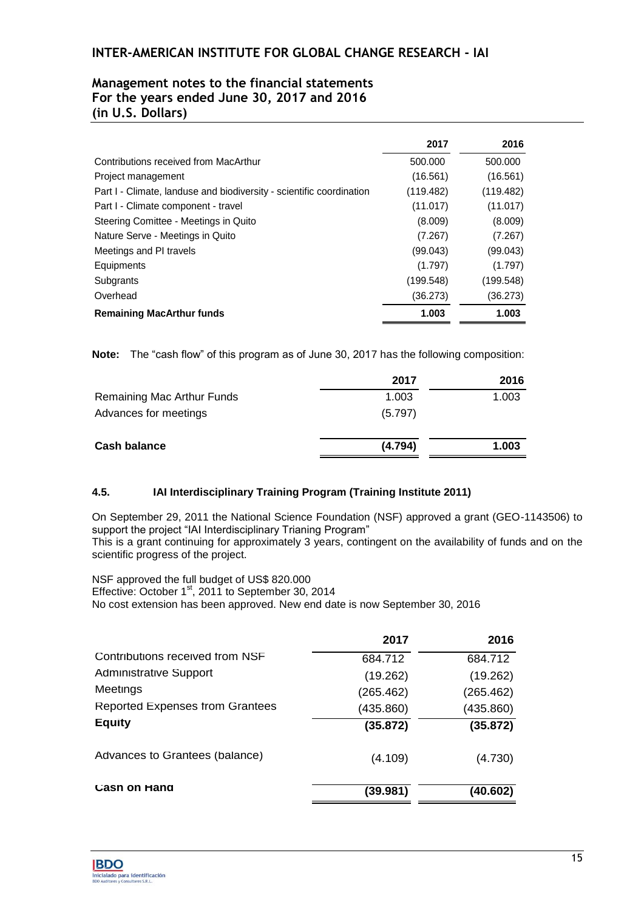### **Management notes to the financial statements For the years ended June 30, 2017 and 2016 (in U.S. Dollars)**

|                                                                      | 2017      | 2016      |
|----------------------------------------------------------------------|-----------|-----------|
| Contributions received from MacArthur                                | 500,000   | 500,000   |
| Project management                                                   | (16.561)  | (16.561)  |
| Part I - Climate, landuse and biodiversity - scientific coordination | (119.482) | (119.482) |
| Part I - Climate component - travel                                  | (11.017)  | (11.017)  |
| Steering Comittee - Meetings in Quito                                | (8.009)   | (8.009)   |
| Nature Serve - Meetings in Quito                                     | (7.267)   | (7.267)   |
| Meetings and PI travels                                              | (99.043)  | (99.043)  |
| Equipments                                                           | (1.797)   | (1.797)   |
| Subgrants                                                            | (199.548) | (199.548) |
| Overhead                                                             | (36.273)  | (36.273)  |
| <b>Remaining MacArthur funds</b>                                     | 1.003     | 1.003     |

**Note:** The "cash flow" of this program as of June 30, 2017 has the following composition:

|                            | 2017    | 2016  |
|----------------------------|---------|-------|
| Remaining Mac Arthur Funds | 1.003   | 1.003 |
| Advances for meetings      | (5.797) |       |
| <b>Cash balance</b>        | (4.794) | 1.003 |

#### **4.5. IAI Interdisciplinary Training Program (Training Institute 2011)**

On September 29, 2011 the National Science Foundation (NSF) approved a grant (GEO-1143506) to support the project "IAI Interdisciplinary Trianing Program"

This is a grant continuing for approximately 3 years, contingent on the availability of funds and on the scientific progress of the project.

NSF approved the full budget of US\$ 820.000 Effective: October 1<sup>st</sup>, 2011 to September 30, 2014 No cost extension has been approved. New end date is now September 30, 2016

|                                 | 2017      | 2016      |
|---------------------------------|-----------|-----------|
| Contributions received from NSF | 684.712   | 684.712   |
| <b>Administrative Support</b>   | (19.262)  | (19.262)  |
| Meetings                        | (265.462) | (265.462) |
| Reported Expenses from Grantees | (435.860) | (435.860) |
| <b>Equity</b>                   | (35.872)  | (35.872)  |
| Advances to Grantees (balance)  | (4.109)   | (4.730)   |
| <b>Cash on Hand</b>             | (39.981)  | (40.602)  |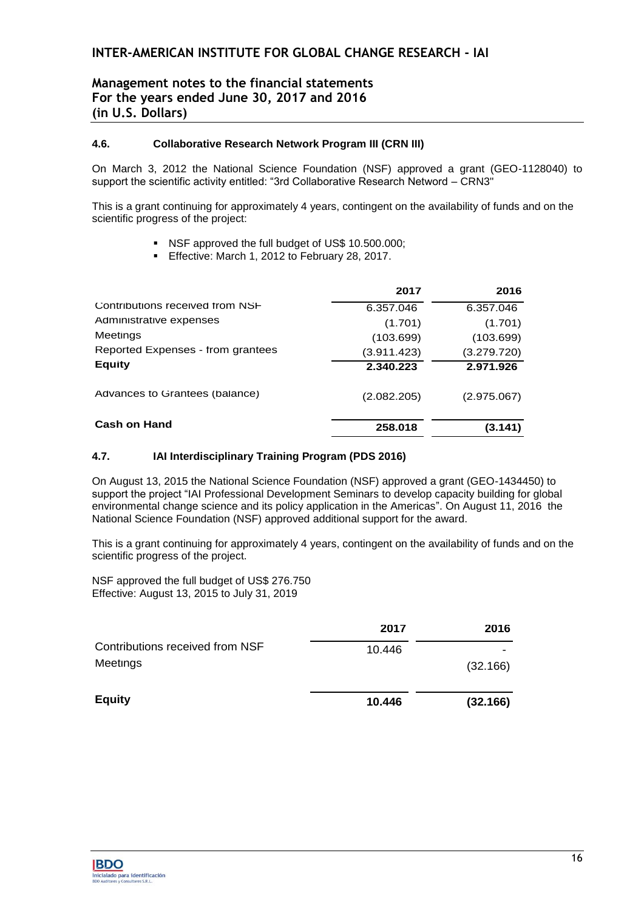#### **4.6. Collaborative Research Network Program III (CRN III)**

On March 3, 2012 the National Science Foundation (NSF) approved a grant (GEO-1128040) to support the scientific activity entitled: "3rd Collaborative Research Netword – CRN3"

This is a grant continuing for approximately 4 years, contingent on the availability of funds and on the scientific progress of the project:

- NSF approved the full budget of US\$ 10.500.000;
- Effective: March 1, 2012 to February 28, 2017.

|                                   | 2017        | 2016        |
|-----------------------------------|-------------|-------------|
| Contributions received from NSF   | 6.357.046   | 6.357.046   |
| Administrative expenses           | (1.701)     | (1.701)     |
| Meetings                          | (103.699)   | (103.699)   |
| Reported Expenses - from grantees | (3.911.423) | (3.279.720) |
| <b>Equity</b>                     | 2.340.223   | 2.971.926   |
| Advances to Grantees (balance)    | (2.082.205) | (2.975.067) |
| <b>Cash on Hand</b>               | 258,018     | (3.141)     |

#### **4.7. IAI Interdisciplinary Training Program (PDS 2016)**

On August 13, 2015 the National Science Foundation (NSF) approved a grant (GEO-1434450) to support the project "IAI Professional Development Seminars to develop capacity building for global environmental change science and its policy application in the Americas". On August 11, 2016 the National Science Foundation (NSF) approved additional support for the award.

This is a grant continuing for approximately 4 years, contingent on the availability of funds and on the scientific progress of the project.

NSF approved the full budget of US\$ 276.750 Effective: August 13, 2015 to July 31, 2019

|                                 | 2017   | 2016     |
|---------------------------------|--------|----------|
| Contributions received from NSF | 10.446 |          |
| Meetings                        |        | (32.166) |
| <b>Equity</b>                   | 10.446 | (32.166) |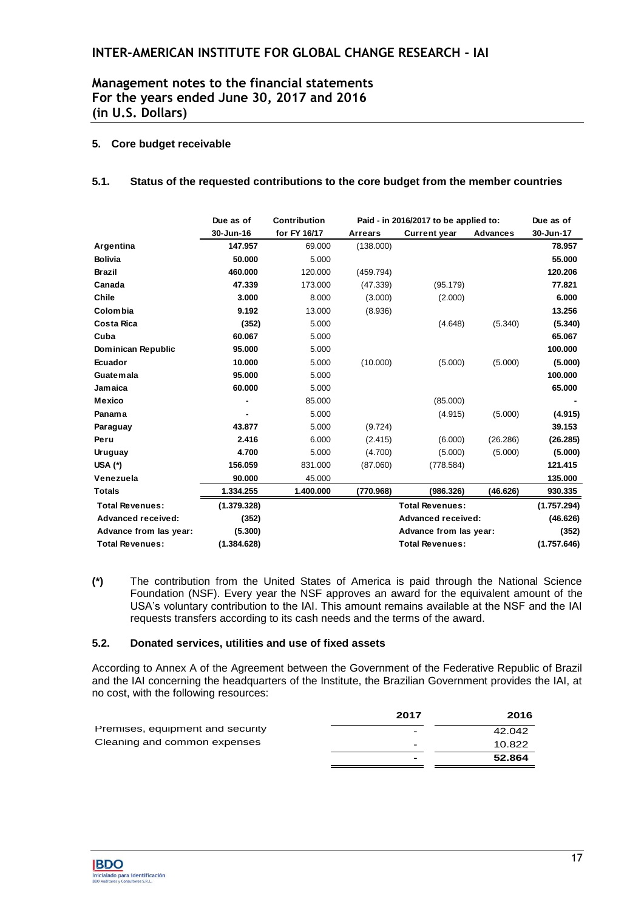## **Management notes to the financial statements For the years ended June 30, 2017 and 2016 (in U.S. Dollars)**

#### **5. Core budget receivable**

#### **5.1. Status of the requested contributions to the core budget from the member countries**

|                        | Due as of<br><b>Contribution</b> |              |           | Paid - in 2016/2017 to be applied to: |                 | Due as of   |
|------------------------|----------------------------------|--------------|-----------|---------------------------------------|-----------------|-------------|
|                        | 30-Jun-16                        | for FY 16/17 | Arrears   | <b>Current year</b>                   | <b>Advances</b> | 30-Jun-17   |
| Argentina              | 147.957                          | 69.000       | (138.000) |                                       |                 | 78.957      |
| <b>Bolivia</b>         | 50,000                           | 5.000        |           |                                       |                 | 55.000      |
| <b>Brazil</b>          | 460.000                          | 120.000      | (459.794) |                                       |                 | 120.206     |
| Canada                 | 47.339                           | 173.000      | (47.339)  | (95.179)                              |                 | 77.821      |
| <b>Chile</b>           | 3.000                            | 8.000        | (3.000)   | (2.000)                               |                 | 6.000       |
| Colombia               | 9.192                            | 13.000       | (8.936)   |                                       |                 | 13.256      |
| <b>Costa Rica</b>      | (352)                            | 5.000        |           | (4.648)                               | (5.340)         | (5.340)     |
| Cuba                   | 60.067                           | 5.000        |           |                                       |                 | 65.067      |
| Dominican Republic     | 95,000                           | 5.000        |           |                                       |                 | 100.000     |
| <b>Ecuador</b>         | 10.000                           | 5.000        | (10.000)  | (5.000)                               | (5.000)         | (5.000)     |
| <b>Guatemala</b>       | 95.000                           | 5.000        |           |                                       |                 | 100.000     |
| <b>Jamaica</b>         | 60.000                           | 5.000        |           |                                       |                 | 65.000      |
| Mexico                 |                                  | 85.000       |           | (85.000)                              |                 |             |
| Panama                 |                                  | 5.000        |           | (4.915)                               | (5.000)         | (4.915)     |
| Paraguay               | 43.877                           | 5.000        | (9.724)   |                                       |                 | 39.153      |
| Peru                   | 2.416                            | 6.000        | (2.415)   | (6.000)                               | (26.286)        | (26.285)    |
| Uruguay                | 4.700                            | 5.000        | (4.700)   | (5.000)                               | (5.000)         | (5.000)     |
| USA (*)                | 156.059                          | 831.000      | (87.060)  | (778.584)                             |                 | 121.415     |
| Venezuela              | 90,000                           | 45.000       |           |                                       |                 | 135.000     |
| <b>Totals</b>          | 1.334.255                        | 1.400.000    | (770.968) | (986.326)                             | (46.626)        | 930.335     |
| <b>Total Revenues:</b> | (1.379.328)                      |              |           | <b>Total Revenues:</b>                |                 | (1.757.294) |
| Advanced received:     | (352)                            |              |           | <b>Advanced received:</b>             |                 | (46.626)    |
| Advance from las year: | (5.300)                          |              |           | Advance from las year:                |                 | (352)       |
| <b>Total Revenues:</b> | (1.384.628)                      |              |           | <b>Total Revenues:</b>                |                 | (1.757.646) |

**(\*)** The contribution from the United States of America is paid through the National Science Foundation (NSF). Every year the NSF approves an award for the equivalent amount of the USA's voluntary contribution to the IAI. This amount remains available at the NSF and the IAI requests transfers according to its cash needs and the terms of the award.

#### **5.2. Donated services, utilities and use of fixed assets**

According to Annex A of the Agreement between the Government of the Federative Republic of Brazil and the IAI concerning the headquarters of the Institute, the Brazilian Government provides the IAI, at no cost, with the following resources:

|                                  | 2017                     | 2016   |
|----------------------------------|--------------------------|--------|
| Premises, equipment and security | $\overline{\phantom{0}}$ | 42.042 |
| Cleaning and common expenses     | $\overline{\phantom{0}}$ | 10.822 |
|                                  | -                        | 52.864 |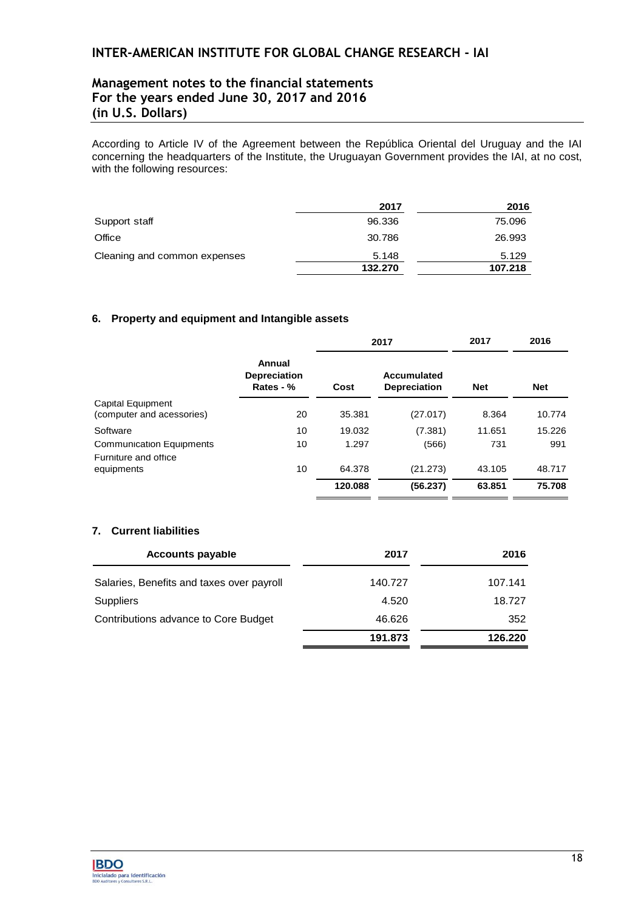## **Management notes to the financial statements For the years ended June 30, 2017 and 2016 (in U.S. Dollars)**

According to Article IV of the Agreement between the República Oriental del Uruguay and the IAI concerning the headquarters of the Institute, the Uruguayan Government provides the IAI, at no cost, with the following resources:

|                              | 2017    | 2016    |
|------------------------------|---------|---------|
| Support staff                | 96.336  | 75.096  |
| Office                       | 30.786  | 26.993  |
| Cleaning and common expenses | 5.148   | 5.129   |
|                              | 132.270 | 107.218 |

#### **6. Property and equipment and Intangible assets**

|                                                       |                                            |         | 2017                                      | 2017       | 2016       |
|-------------------------------------------------------|--------------------------------------------|---------|-------------------------------------------|------------|------------|
|                                                       | Annual<br><b>Depreciation</b><br>Rates - % | Cost    | <b>Accumulated</b><br><b>Depreciation</b> | <b>Net</b> | <b>Net</b> |
| <b>Capital Equipment</b><br>(computer and acessories) | 20                                         | 35.381  | (27.017)                                  | 8.364      | 10.774     |
| Software                                              | 10                                         | 19.032  | (7.381)                                   | 11.651     | 15.226     |
| <b>Communication Equipments</b>                       | 10                                         | 1.297   | (566)                                     | 731        | 991        |
| Furniture and office<br>equipments                    | 10                                         | 64.378  | (21.273)                                  | 43.105     | 48.717     |
|                                                       |                                            | 120.088 | (56.237)                                  | 63.851     | 75.708     |

#### **7. Current liabilities**

| <b>Accounts payable</b>                   | 2017    | 2016    |
|-------------------------------------------|---------|---------|
| Salaries, Benefits and taxes over payroll | 140.727 | 107.141 |
| Suppliers                                 | 4.520   | 18.727  |
| Contributions advance to Core Budget      | 46.626  | 352     |
|                                           | 191.873 | 126.220 |